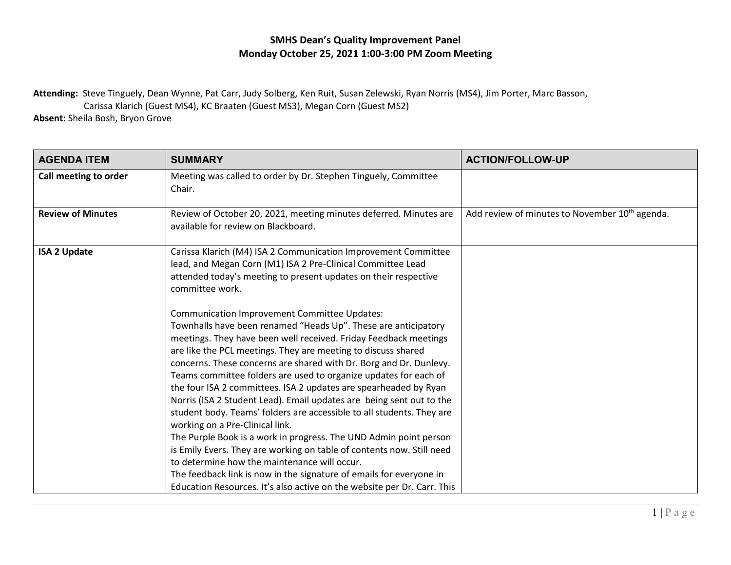## **SMHS Dean's Quality Improvement Panel Monday October 25, 2021 1:00-3:00 PM Zoom Meeting**

**Attending:** Steve Tinguely, Dean Wynne, Pat Carr, Judy Solberg, Ken Ruit, Susan Zelewski, Ryan Norris (MS4), Jim Porter, Marc Basson,

Carissa Klarich (Guest MS4), KC Braaten (Guest MS3), Megan Corn (Guest MS2)

**Absent:** Sheila Bosh, Bryon Grove

| <b>AGENDA ITEM</b>       | <b>SUMMARY</b>                                                                                                                                                                                                                                                                                                                                                                                                                                                                                                                                                                                                                                                                                                                                                                                                                                                                                                                                                                                               | <b>ACTION/FOLLOW-UP</b>                                    |
|--------------------------|--------------------------------------------------------------------------------------------------------------------------------------------------------------------------------------------------------------------------------------------------------------------------------------------------------------------------------------------------------------------------------------------------------------------------------------------------------------------------------------------------------------------------------------------------------------------------------------------------------------------------------------------------------------------------------------------------------------------------------------------------------------------------------------------------------------------------------------------------------------------------------------------------------------------------------------------------------------------------------------------------------------|------------------------------------------------------------|
| Call meeting to order    | Meeting was called to order by Dr. Stephen Tinguely, Committee<br>Chair.                                                                                                                                                                                                                                                                                                                                                                                                                                                                                                                                                                                                                                                                                                                                                                                                                                                                                                                                     |                                                            |
| <b>Review of Minutes</b> | Review of October 20, 2021, meeting minutes deferred. Minutes are<br>available for review on Blackboard.                                                                                                                                                                                                                                                                                                                                                                                                                                                                                                                                                                                                                                                                                                                                                                                                                                                                                                     | Add review of minutes to November 10 <sup>th</sup> agenda. |
| <b>ISA 2 Update</b>      | Carissa Klarich (M4) ISA 2 Communication Improvement Committee<br>lead, and Megan Corn (M1) ISA 2 Pre-Clinical Committee Lead<br>attended today's meeting to present updates on their respective<br>committee work.                                                                                                                                                                                                                                                                                                                                                                                                                                                                                                                                                                                                                                                                                                                                                                                          |                                                            |
|                          | <b>Communication Improvement Committee Updates:</b><br>Townhalls have been renamed "Heads Up". These are anticipatory<br>meetings. They have been well received. Friday Feedback meetings<br>are like the PCL meetings. They are meeting to discuss shared<br>concerns. These concerns are shared with Dr. Borg and Dr. Dunlevy.<br>Teams committee folders are used to organize updates for each of<br>the four ISA 2 committees. ISA 2 updates are spearheaded by Ryan<br>Norris (ISA 2 Student Lead). Email updates are being sent out to the<br>student body. Teams' folders are accessible to all students. They are<br>working on a Pre-Clinical link.<br>The Purple Book is a work in progress. The UND Admin point person<br>is Emily Evers. They are working on table of contents now. Still need<br>to determine how the maintenance will occur.<br>The feedback link is now in the signature of emails for everyone in<br>Education Resources. It's also active on the website per Dr. Carr. This |                                                            |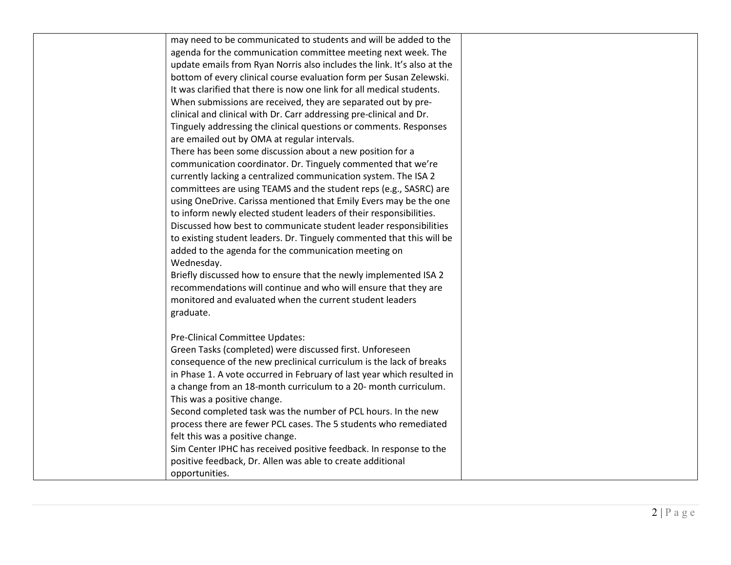| may need to be communicated to students and will be added to the<br>agenda for the communication committee meeting next week. The<br>update emails from Ryan Norris also includes the link. It's also at the<br>bottom of every clinical course evaluation form per Susan Zelewski.<br>It was clarified that there is now one link for all medical students.<br>When submissions are received, they are separated out by pre-<br>clinical and clinical with Dr. Carr addressing pre-clinical and Dr.<br>Tinguely addressing the clinical questions or comments. Responses<br>are emailed out by OMA at regular intervals.<br>There has been some discussion about a new position for a<br>communication coordinator. Dr. Tinguely commented that we're<br>currently lacking a centralized communication system. The ISA 2<br>committees are using TEAMS and the student reps (e.g., SASRC) are<br>using OneDrive. Carissa mentioned that Emily Evers may be the one<br>to inform newly elected student leaders of their responsibilities.<br>Discussed how best to communicate student leader responsibilities<br>to existing student leaders. Dr. Tinguely commented that this will be<br>added to the agenda for the communication meeting on<br>Wednesday.<br>Briefly discussed how to ensure that the newly implemented ISA 2<br>recommendations will continue and who will ensure that they are<br>monitored and evaluated when the current student leaders<br>graduate.<br>Pre-Clinical Committee Updates:<br>Green Tasks (completed) were discussed first. Unforeseen<br>consequence of the new preclinical curriculum is the lack of breaks<br>in Phase 1. A vote occurred in February of last year which resulted in<br>a change from an 18-month curriculum to a 20- month curriculum.<br>This was a positive change.<br>Second completed task was the number of PCL hours. In the new<br>process there are fewer PCL cases. The 5 students who remediated<br>felt this was a positive change.<br>Sim Center IPHC has received positive feedback. In response to the<br>positive feedback, Dr. Allen was able to create additional<br>opportunities. |  |  |
|----------------------------------------------------------------------------------------------------------------------------------------------------------------------------------------------------------------------------------------------------------------------------------------------------------------------------------------------------------------------------------------------------------------------------------------------------------------------------------------------------------------------------------------------------------------------------------------------------------------------------------------------------------------------------------------------------------------------------------------------------------------------------------------------------------------------------------------------------------------------------------------------------------------------------------------------------------------------------------------------------------------------------------------------------------------------------------------------------------------------------------------------------------------------------------------------------------------------------------------------------------------------------------------------------------------------------------------------------------------------------------------------------------------------------------------------------------------------------------------------------------------------------------------------------------------------------------------------------------------------------------------------------------------------------------------------------------------------------------------------------------------------------------------------------------------------------------------------------------------------------------------------------------------------------------------------------------------------------------------------------------------------------------------------------------------------------------------------------------------------------------------------------------------|--|--|
|                                                                                                                                                                                                                                                                                                                                                                                                                                                                                                                                                                                                                                                                                                                                                                                                                                                                                                                                                                                                                                                                                                                                                                                                                                                                                                                                                                                                                                                                                                                                                                                                                                                                                                                                                                                                                                                                                                                                                                                                                                                                                                                                                                |  |  |
|                                                                                                                                                                                                                                                                                                                                                                                                                                                                                                                                                                                                                                                                                                                                                                                                                                                                                                                                                                                                                                                                                                                                                                                                                                                                                                                                                                                                                                                                                                                                                                                                                                                                                                                                                                                                                                                                                                                                                                                                                                                                                                                                                                |  |  |
|                                                                                                                                                                                                                                                                                                                                                                                                                                                                                                                                                                                                                                                                                                                                                                                                                                                                                                                                                                                                                                                                                                                                                                                                                                                                                                                                                                                                                                                                                                                                                                                                                                                                                                                                                                                                                                                                                                                                                                                                                                                                                                                                                                |  |  |
|                                                                                                                                                                                                                                                                                                                                                                                                                                                                                                                                                                                                                                                                                                                                                                                                                                                                                                                                                                                                                                                                                                                                                                                                                                                                                                                                                                                                                                                                                                                                                                                                                                                                                                                                                                                                                                                                                                                                                                                                                                                                                                                                                                |  |  |
|                                                                                                                                                                                                                                                                                                                                                                                                                                                                                                                                                                                                                                                                                                                                                                                                                                                                                                                                                                                                                                                                                                                                                                                                                                                                                                                                                                                                                                                                                                                                                                                                                                                                                                                                                                                                                                                                                                                                                                                                                                                                                                                                                                |  |  |
|                                                                                                                                                                                                                                                                                                                                                                                                                                                                                                                                                                                                                                                                                                                                                                                                                                                                                                                                                                                                                                                                                                                                                                                                                                                                                                                                                                                                                                                                                                                                                                                                                                                                                                                                                                                                                                                                                                                                                                                                                                                                                                                                                                |  |  |
|                                                                                                                                                                                                                                                                                                                                                                                                                                                                                                                                                                                                                                                                                                                                                                                                                                                                                                                                                                                                                                                                                                                                                                                                                                                                                                                                                                                                                                                                                                                                                                                                                                                                                                                                                                                                                                                                                                                                                                                                                                                                                                                                                                |  |  |
|                                                                                                                                                                                                                                                                                                                                                                                                                                                                                                                                                                                                                                                                                                                                                                                                                                                                                                                                                                                                                                                                                                                                                                                                                                                                                                                                                                                                                                                                                                                                                                                                                                                                                                                                                                                                                                                                                                                                                                                                                                                                                                                                                                |  |  |
|                                                                                                                                                                                                                                                                                                                                                                                                                                                                                                                                                                                                                                                                                                                                                                                                                                                                                                                                                                                                                                                                                                                                                                                                                                                                                                                                                                                                                                                                                                                                                                                                                                                                                                                                                                                                                                                                                                                                                                                                                                                                                                                                                                |  |  |
|                                                                                                                                                                                                                                                                                                                                                                                                                                                                                                                                                                                                                                                                                                                                                                                                                                                                                                                                                                                                                                                                                                                                                                                                                                                                                                                                                                                                                                                                                                                                                                                                                                                                                                                                                                                                                                                                                                                                                                                                                                                                                                                                                                |  |  |
|                                                                                                                                                                                                                                                                                                                                                                                                                                                                                                                                                                                                                                                                                                                                                                                                                                                                                                                                                                                                                                                                                                                                                                                                                                                                                                                                                                                                                                                                                                                                                                                                                                                                                                                                                                                                                                                                                                                                                                                                                                                                                                                                                                |  |  |
|                                                                                                                                                                                                                                                                                                                                                                                                                                                                                                                                                                                                                                                                                                                                                                                                                                                                                                                                                                                                                                                                                                                                                                                                                                                                                                                                                                                                                                                                                                                                                                                                                                                                                                                                                                                                                                                                                                                                                                                                                                                                                                                                                                |  |  |
|                                                                                                                                                                                                                                                                                                                                                                                                                                                                                                                                                                                                                                                                                                                                                                                                                                                                                                                                                                                                                                                                                                                                                                                                                                                                                                                                                                                                                                                                                                                                                                                                                                                                                                                                                                                                                                                                                                                                                                                                                                                                                                                                                                |  |  |
|                                                                                                                                                                                                                                                                                                                                                                                                                                                                                                                                                                                                                                                                                                                                                                                                                                                                                                                                                                                                                                                                                                                                                                                                                                                                                                                                                                                                                                                                                                                                                                                                                                                                                                                                                                                                                                                                                                                                                                                                                                                                                                                                                                |  |  |
|                                                                                                                                                                                                                                                                                                                                                                                                                                                                                                                                                                                                                                                                                                                                                                                                                                                                                                                                                                                                                                                                                                                                                                                                                                                                                                                                                                                                                                                                                                                                                                                                                                                                                                                                                                                                                                                                                                                                                                                                                                                                                                                                                                |  |  |
|                                                                                                                                                                                                                                                                                                                                                                                                                                                                                                                                                                                                                                                                                                                                                                                                                                                                                                                                                                                                                                                                                                                                                                                                                                                                                                                                                                                                                                                                                                                                                                                                                                                                                                                                                                                                                                                                                                                                                                                                                                                                                                                                                                |  |  |
|                                                                                                                                                                                                                                                                                                                                                                                                                                                                                                                                                                                                                                                                                                                                                                                                                                                                                                                                                                                                                                                                                                                                                                                                                                                                                                                                                                                                                                                                                                                                                                                                                                                                                                                                                                                                                                                                                                                                                                                                                                                                                                                                                                |  |  |
|                                                                                                                                                                                                                                                                                                                                                                                                                                                                                                                                                                                                                                                                                                                                                                                                                                                                                                                                                                                                                                                                                                                                                                                                                                                                                                                                                                                                                                                                                                                                                                                                                                                                                                                                                                                                                                                                                                                                                                                                                                                                                                                                                                |  |  |
|                                                                                                                                                                                                                                                                                                                                                                                                                                                                                                                                                                                                                                                                                                                                                                                                                                                                                                                                                                                                                                                                                                                                                                                                                                                                                                                                                                                                                                                                                                                                                                                                                                                                                                                                                                                                                                                                                                                                                                                                                                                                                                                                                                |  |  |
|                                                                                                                                                                                                                                                                                                                                                                                                                                                                                                                                                                                                                                                                                                                                                                                                                                                                                                                                                                                                                                                                                                                                                                                                                                                                                                                                                                                                                                                                                                                                                                                                                                                                                                                                                                                                                                                                                                                                                                                                                                                                                                                                                                |  |  |
|                                                                                                                                                                                                                                                                                                                                                                                                                                                                                                                                                                                                                                                                                                                                                                                                                                                                                                                                                                                                                                                                                                                                                                                                                                                                                                                                                                                                                                                                                                                                                                                                                                                                                                                                                                                                                                                                                                                                                                                                                                                                                                                                                                |  |  |
|                                                                                                                                                                                                                                                                                                                                                                                                                                                                                                                                                                                                                                                                                                                                                                                                                                                                                                                                                                                                                                                                                                                                                                                                                                                                                                                                                                                                                                                                                                                                                                                                                                                                                                                                                                                                                                                                                                                                                                                                                                                                                                                                                                |  |  |
|                                                                                                                                                                                                                                                                                                                                                                                                                                                                                                                                                                                                                                                                                                                                                                                                                                                                                                                                                                                                                                                                                                                                                                                                                                                                                                                                                                                                                                                                                                                                                                                                                                                                                                                                                                                                                                                                                                                                                                                                                                                                                                                                                                |  |  |
|                                                                                                                                                                                                                                                                                                                                                                                                                                                                                                                                                                                                                                                                                                                                                                                                                                                                                                                                                                                                                                                                                                                                                                                                                                                                                                                                                                                                                                                                                                                                                                                                                                                                                                                                                                                                                                                                                                                                                                                                                                                                                                                                                                |  |  |
|                                                                                                                                                                                                                                                                                                                                                                                                                                                                                                                                                                                                                                                                                                                                                                                                                                                                                                                                                                                                                                                                                                                                                                                                                                                                                                                                                                                                                                                                                                                                                                                                                                                                                                                                                                                                                                                                                                                                                                                                                                                                                                                                                                |  |  |
|                                                                                                                                                                                                                                                                                                                                                                                                                                                                                                                                                                                                                                                                                                                                                                                                                                                                                                                                                                                                                                                                                                                                                                                                                                                                                                                                                                                                                                                                                                                                                                                                                                                                                                                                                                                                                                                                                                                                                                                                                                                                                                                                                                |  |  |
|                                                                                                                                                                                                                                                                                                                                                                                                                                                                                                                                                                                                                                                                                                                                                                                                                                                                                                                                                                                                                                                                                                                                                                                                                                                                                                                                                                                                                                                                                                                                                                                                                                                                                                                                                                                                                                                                                                                                                                                                                                                                                                                                                                |  |  |
|                                                                                                                                                                                                                                                                                                                                                                                                                                                                                                                                                                                                                                                                                                                                                                                                                                                                                                                                                                                                                                                                                                                                                                                                                                                                                                                                                                                                                                                                                                                                                                                                                                                                                                                                                                                                                                                                                                                                                                                                                                                                                                                                                                |  |  |
|                                                                                                                                                                                                                                                                                                                                                                                                                                                                                                                                                                                                                                                                                                                                                                                                                                                                                                                                                                                                                                                                                                                                                                                                                                                                                                                                                                                                                                                                                                                                                                                                                                                                                                                                                                                                                                                                                                                                                                                                                                                                                                                                                                |  |  |
|                                                                                                                                                                                                                                                                                                                                                                                                                                                                                                                                                                                                                                                                                                                                                                                                                                                                                                                                                                                                                                                                                                                                                                                                                                                                                                                                                                                                                                                                                                                                                                                                                                                                                                                                                                                                                                                                                                                                                                                                                                                                                                                                                                |  |  |
|                                                                                                                                                                                                                                                                                                                                                                                                                                                                                                                                                                                                                                                                                                                                                                                                                                                                                                                                                                                                                                                                                                                                                                                                                                                                                                                                                                                                                                                                                                                                                                                                                                                                                                                                                                                                                                                                                                                                                                                                                                                                                                                                                                |  |  |
|                                                                                                                                                                                                                                                                                                                                                                                                                                                                                                                                                                                                                                                                                                                                                                                                                                                                                                                                                                                                                                                                                                                                                                                                                                                                                                                                                                                                                                                                                                                                                                                                                                                                                                                                                                                                                                                                                                                                                                                                                                                                                                                                                                |  |  |
|                                                                                                                                                                                                                                                                                                                                                                                                                                                                                                                                                                                                                                                                                                                                                                                                                                                                                                                                                                                                                                                                                                                                                                                                                                                                                                                                                                                                                                                                                                                                                                                                                                                                                                                                                                                                                                                                                                                                                                                                                                                                                                                                                                |  |  |
|                                                                                                                                                                                                                                                                                                                                                                                                                                                                                                                                                                                                                                                                                                                                                                                                                                                                                                                                                                                                                                                                                                                                                                                                                                                                                                                                                                                                                                                                                                                                                                                                                                                                                                                                                                                                                                                                                                                                                                                                                                                                                                                                                                |  |  |
|                                                                                                                                                                                                                                                                                                                                                                                                                                                                                                                                                                                                                                                                                                                                                                                                                                                                                                                                                                                                                                                                                                                                                                                                                                                                                                                                                                                                                                                                                                                                                                                                                                                                                                                                                                                                                                                                                                                                                                                                                                                                                                                                                                |  |  |
|                                                                                                                                                                                                                                                                                                                                                                                                                                                                                                                                                                                                                                                                                                                                                                                                                                                                                                                                                                                                                                                                                                                                                                                                                                                                                                                                                                                                                                                                                                                                                                                                                                                                                                                                                                                                                                                                                                                                                                                                                                                                                                                                                                |  |  |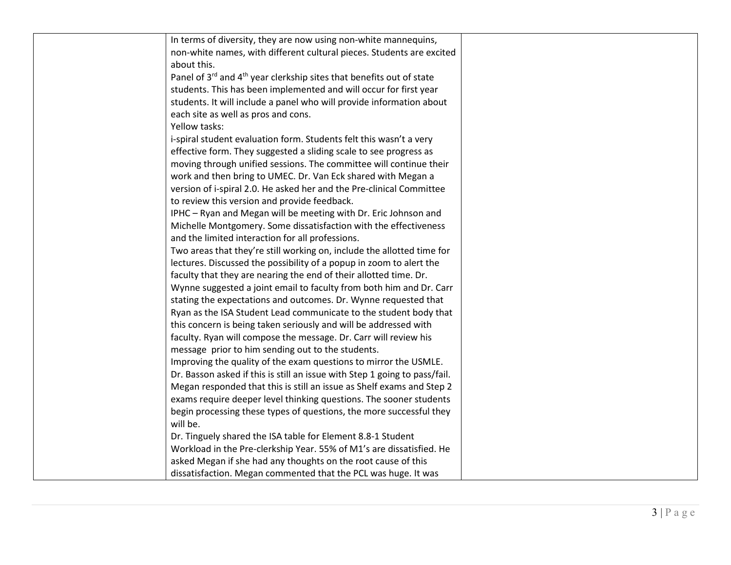| In terms of diversity, they are now using non-white mannequins,                              |  |
|----------------------------------------------------------------------------------------------|--|
| non-white names, with different cultural pieces. Students are excited                        |  |
| about this.                                                                                  |  |
| Panel of 3 <sup>rd</sup> and 4 <sup>th</sup> year clerkship sites that benefits out of state |  |
| students. This has been implemented and will occur for first year                            |  |
| students. It will include a panel who will provide information about                         |  |
| each site as well as pros and cons.                                                          |  |
| Yellow tasks:                                                                                |  |
| i-spiral student evaluation form. Students felt this wasn't a very                           |  |
| effective form. They suggested a sliding scale to see progress as                            |  |
| moving through unified sessions. The committee will continue their                           |  |
| work and then bring to UMEC. Dr. Van Eck shared with Megan a                                 |  |
| version of i-spiral 2.0. He asked her and the Pre-clinical Committee                         |  |
| to review this version and provide feedback.                                                 |  |
| IPHC - Ryan and Megan will be meeting with Dr. Eric Johnson and                              |  |
| Michelle Montgomery. Some dissatisfaction with the effectiveness                             |  |
| and the limited interaction for all professions.                                             |  |
| Two areas that they're still working on, include the allotted time for                       |  |
| lectures. Discussed the possibility of a popup in zoom to alert the                          |  |
| faculty that they are nearing the end of their allotted time. Dr.                            |  |
| Wynne suggested a joint email to faculty from both him and Dr. Carr                          |  |
| stating the expectations and outcomes. Dr. Wynne requested that                              |  |
| Ryan as the ISA Student Lead communicate to the student body that                            |  |
| this concern is being taken seriously and will be addressed with                             |  |
| faculty. Ryan will compose the message. Dr. Carr will review his                             |  |
| message prior to him sending out to the students.                                            |  |
| Improving the quality of the exam questions to mirror the USMLE.                             |  |
| Dr. Basson asked if this is still an issue with Step 1 going to pass/fail.                   |  |
| Megan responded that this is still an issue as Shelf exams and Step 2                        |  |
| exams require deeper level thinking questions. The sooner students                           |  |
| begin processing these types of questions, the more successful they                          |  |
| will be.                                                                                     |  |
| Dr. Tinguely shared the ISA table for Element 8.8-1 Student                                  |  |
| Workload in the Pre-clerkship Year. 55% of M1's are dissatisfied. He                         |  |
| asked Megan if she had any thoughts on the root cause of this                                |  |
| dissatisfaction. Megan commented that the PCL was huge. It was                               |  |